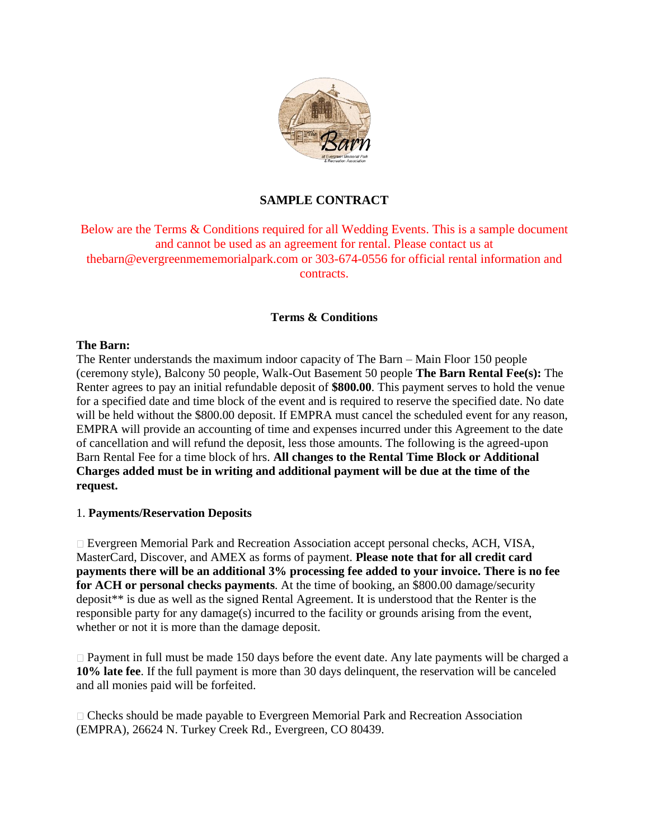

# **SAMPLE CONTRACT**

Below are the Terms & Conditions required for all Wedding Events. This is a sample document and cannot be used as an agreement for rental. Please contact us at thebarn@evergreenmememorialpark.com or 303-674-0556 for official rental information and contracts.

### **Terms & Conditions**

#### **The Barn:**

The Renter understands the maximum indoor capacity of The Barn – Main Floor 150 people (ceremony style), Balcony 50 people, Walk-Out Basement 50 people **The Barn Rental Fee(s):** The Renter agrees to pay an initial refundable deposit of **\$800.00**. This payment serves to hold the venue for a specified date and time block of the event and is required to reserve the specified date. No date will be held without the \$800.00 deposit. If EMPRA must cancel the scheduled event for any reason, EMPRA will provide an accounting of time and expenses incurred under this Agreement to the date of cancellation and will refund the deposit, less those amounts. The following is the agreed-upon Barn Rental Fee for a time block of hrs. **All changes to the Rental Time Block or Additional Charges added must be in writing and additional payment will be due at the time of the request.**

### 1. **Payments/Reservation Deposits**

Evergreen Memorial Park and Recreation Association accept personal checks, ACH, VISA, MasterCard, Discover, and AMEX as forms of payment. **Please note that for all credit card payments there will be an additional 3% processing fee added to your invoice. There is no fee for ACH or personal checks payments**. At the time of booking, an \$800.00 damage/security deposit\*\* is due as well as the signed Rental Agreement. It is understood that the Renter is the responsible party for any damage(s) incurred to the facility or grounds arising from the event, whether or not it is more than the damage deposit.

 $\Box$  Payment in full must be made 150 days before the event date. Any late payments will be charged a **10% late fee**. If the full payment is more than 30 days delinquent, the reservation will be canceled and all monies paid will be forfeited.

Checks should be made payable to Evergreen Memorial Park and Recreation Association (EMPRA), 26624 N. Turkey Creek Rd., Evergreen, CO 80439.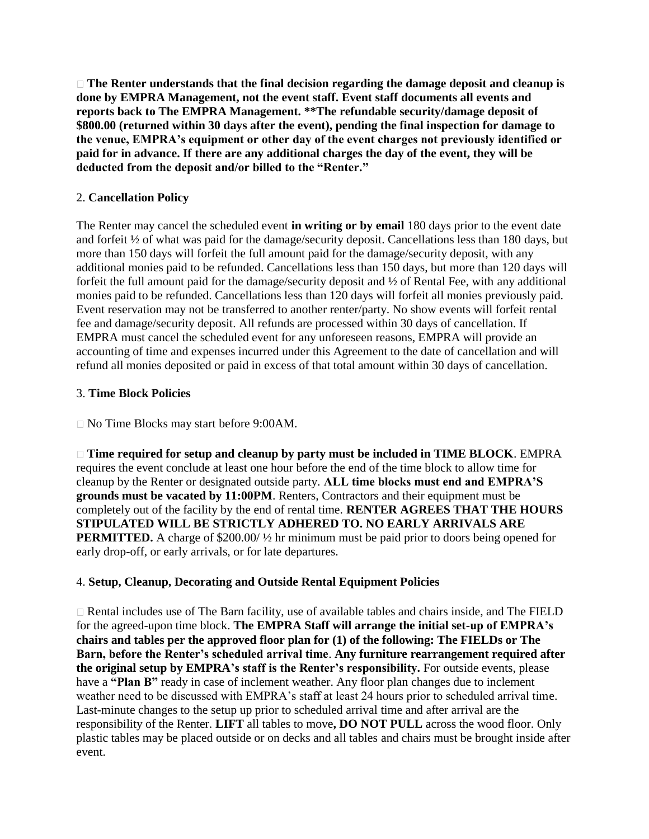**The Renter understands that the final decision regarding the damage deposit and cleanup is done by EMPRA Management, not the event staff. Event staff documents all events and reports back to The EMPRA Management. \*\*The refundable security/damage deposit of \$800.00 (returned within 30 days after the event), pending the final inspection for damage to the venue, EMPRA's equipment or other day of the event charges not previously identified or paid for in advance. If there are any additional charges the day of the event, they will be deducted from the deposit and/or billed to the "Renter."** 

## 2. **Cancellation Policy**

The Renter may cancel the scheduled event **in writing or by email** 180 days prior to the event date and forfeit ½ of what was paid for the damage/security deposit. Cancellations less than 180 days, but more than 150 days will forfeit the full amount paid for the damage/security deposit, with any additional monies paid to be refunded. Cancellations less than 150 days, but more than 120 days will forfeit the full amount paid for the damage/security deposit and ½ of Rental Fee, with any additional monies paid to be refunded. Cancellations less than 120 days will forfeit all monies previously paid. Event reservation may not be transferred to another renter/party. No show events will forfeit rental fee and damage/security deposit. All refunds are processed within 30 days of cancellation. If EMPRA must cancel the scheduled event for any unforeseen reasons, EMPRA will provide an accounting of time and expenses incurred under this Agreement to the date of cancellation and will refund all monies deposited or paid in excess of that total amount within 30 days of cancellation.

### 3. **Time Block Policies**

No Time Blocks may start before 9:00AM.

**Time required for setup and cleanup by party must be included in TIME BLOCK**. EMPRA requires the event conclude at least one hour before the end of the time block to allow time for cleanup by the Renter or designated outside party. **ALL time blocks must end and EMPRA'S grounds must be vacated by 11:00PM**. Renters, Contractors and their equipment must be completely out of the facility by the end of rental time. **RENTER AGREES THAT THE HOURS STIPULATED WILL BE STRICTLY ADHERED TO. NO EARLY ARRIVALS ARE PERMITTED.** A charge of \$200.00/ $\frac{1}{2}$  hr minimum must be paid prior to doors being opened for early drop-off, or early arrivals, or for late departures.

### 4. **Setup, Cleanup, Decorating and Outside Rental Equipment Policies**

Rental includes use of The Barn facility, use of available tables and chairs inside, and The FIELD for the agreed-upon time block. **The EMPRA Staff will arrange the initial set-up of EMPRA's chairs and tables per the approved floor plan for (1) of the following: The FIELDs or The Barn, before the Renter's scheduled arrival time**. **Any furniture rearrangement required after the original setup by EMPRA's staff is the Renter's responsibility.** For outside events, please have a **"Plan B"** ready in case of inclement weather. Any floor plan changes due to inclement weather need to be discussed with EMPRA's staff at least 24 hours prior to scheduled arrival time. Last-minute changes to the setup up prior to scheduled arrival time and after arrival are the responsibility of the Renter. **LIFT** all tables to move**, DO NOT PULL** across the wood floor. Only plastic tables may be placed outside or on decks and all tables and chairs must be brought inside after event.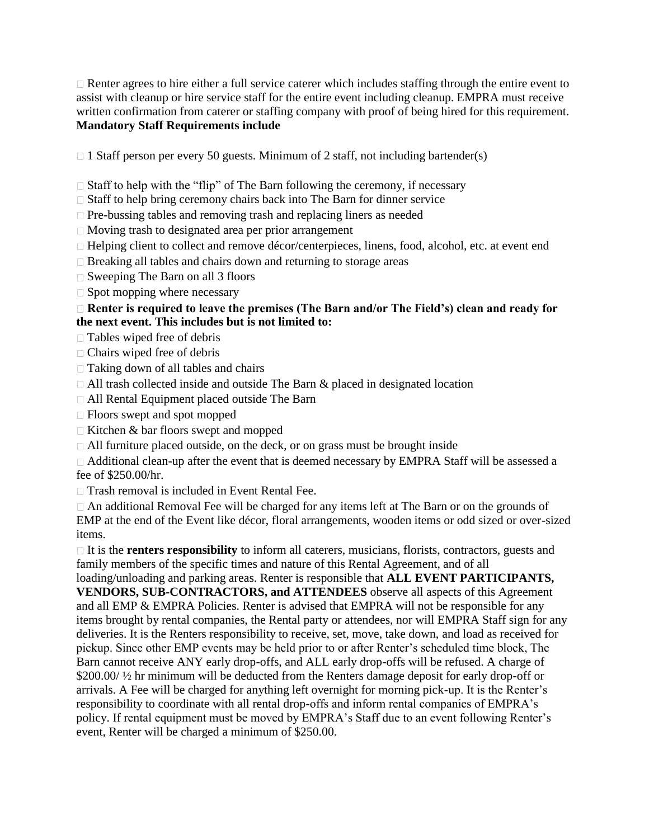$\Box$  Renter agrees to hire either a full service caterer which includes staffing through the entire event to assist with cleanup or hire service staff for the entire event including cleanup. EMPRA must receive written confirmation from caterer or staffing company with proof of being hired for this requirement. **Mandatory Staff Requirements include** 

 $\Box$  1 Staff person per every 50 guests. Minimum of 2 staff, not including bartender(s)

 $\Box$  Staff to help with the "flip" of The Barn following the ceremony, if necessary

- $\Box$  Staff to help bring ceremony chairs back into The Barn for dinner service
- $\Box$  Pre-bussing tables and removing trash and replacing liners as needed
- Moving trash to designated area per prior arrangement
- □ Helping client to collect and remove décor/centerpieces, linens, food, alcohol, etc. at event end
- $\Box$  Breaking all tables and chairs down and returning to storage areas
- $\Box$  Sweeping The Barn on all 3 floors
- $\Box$  Spot mopping where necessary

### □ Renter is required to leave the premises (The Barn and/or The Field's) clean and ready for **the next event. This includes but is not limited to:**

- □ Tables wiped free of debris
- Chairs wiped free of debris
- $\Box$  Taking down of all tables and chairs
- $\Box$  All trash collected inside and outside The Barn & placed in designated location
- All Rental Equipment placed outside The Barn
- Floors swept and spot mopped
- $\Box$  Kitchen & bar floors swept and mopped
- All furniture placed outside, on the deck, or on grass must be brought inside

□ Additional clean-up after the event that is deemed necessary by EMPRA Staff will be assessed a fee of \$250.00/hr.

□ Trash removal is included in Event Rental Fee.

An additional Removal Fee will be charged for any items left at The Barn or on the grounds of EMP at the end of the Event like décor, floral arrangements, wooden items or odd sized or over-sized items.

 $\Box$  It is the **renters responsibility** to inform all caterers, musicians, florists, contractors, guests and family members of the specific times and nature of this Rental Agreement, and of all

loading/unloading and parking areas. Renter is responsible that **ALL EVENT PARTICIPANTS, VENDORS, SUB-CONTRACTORS, and ATTENDEES** observe all aspects of this Agreement and all EMP & EMPRA Policies. Renter is advised that EMPRA will not be responsible for any items brought by rental companies, the Rental party or attendees, nor will EMPRA Staff sign for any deliveries. It is the Renters responsibility to receive, set, move, take down, and load as received for pickup. Since other EMP events may be held prior to or after Renter's scheduled time block, The Barn cannot receive ANY early drop-offs, and ALL early drop-offs will be refused. A charge of \$200.00/  $\frac{1}{2}$  hr minimum will be deducted from the Renters damage deposit for early drop-off or arrivals. A Fee will be charged for anything left overnight for morning pick-up. It is the Renter's responsibility to coordinate with all rental drop-offs and inform rental companies of EMPRA's policy. If rental equipment must be moved by EMPRA's Staff due to an event following Renter's event, Renter will be charged a minimum of \$250.00.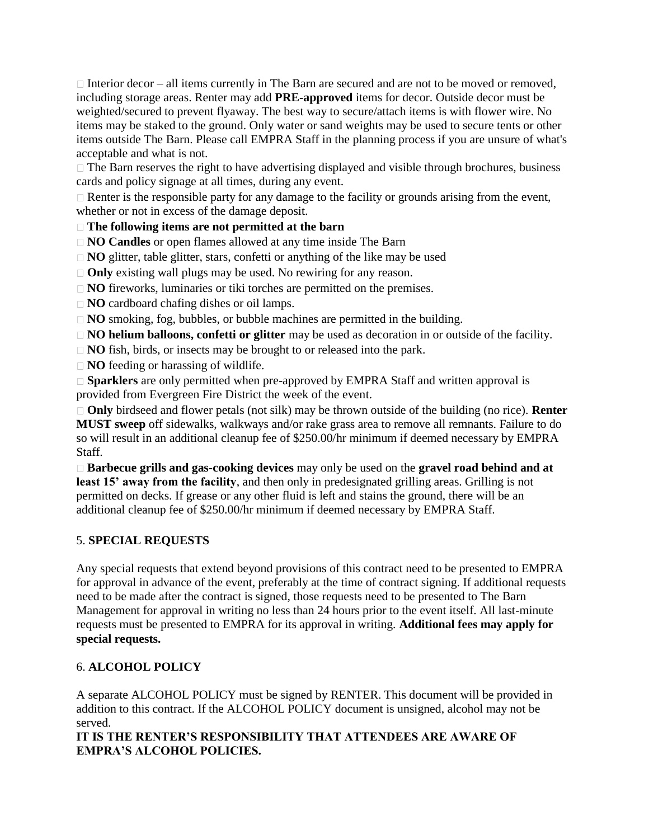$\Box$  Interior decor – all items currently in The Barn are secured and are not to be moved or removed, including storage areas. Renter may add **PRE-approved** items for decor. Outside decor must be weighted/secured to prevent flyaway. The best way to secure/attach items is with flower wire. No items may be staked to the ground. Only water or sand weights may be used to secure tents or other items outside The Barn. Please call EMPRA Staff in the planning process if you are unsure of what's acceptable and what is not.

 $\Box$  The Barn reserves the right to have advertising displayed and visible through brochures, business cards and policy signage at all times, during any event.

Renter is the responsible party for any damage to the facility or grounds arising from the event, whether or not in excess of the damage deposit.

**The following items are not permitted at the barn** 

**NO Candles** or open flames allowed at any time inside The Barn

□ **NO** glitter, table glitter, stars, confetti or anything of the like may be used

□ **Only** existing wall plugs may be used. No rewiring for any reason.

□ **NO** fireworks, luminaries or tiki torches are permitted on the premises.

□ **NO** cardboard chafing dishes or oil lamps.

□ **NO** smoking, fog, bubbles, or bubble machines are permitted in the building.

**NO helium balloons, confetti or glitter** may be used as decoration in or outside of the facility.

□ **NO** fish, birds, or insects may be brought to or released into the park.

**NO** feeding or harassing of wildlife.

□ **Sparklers** are only permitted when pre-approved by EMPRA Staff and written approval is provided from Evergreen Fire District the week of the event.

**Only** birdseed and flower petals (not silk) may be thrown outside of the building (no rice). **Renter MUST sweep** off sidewalks, walkways and/or rake grass area to remove all remnants. Failure to do so will result in an additional cleanup fee of \$250.00/hr minimum if deemed necessary by EMPRA Staff.

**Barbecue grills and gas-cooking devices** may only be used on the **gravel road behind and at**  least 15' away from the facility, and then only in predesignated grilling areas. Grilling is not permitted on decks. If grease or any other fluid is left and stains the ground, there will be an additional cleanup fee of \$250.00/hr minimum if deemed necessary by EMPRA Staff.

## 5. **SPECIAL REQUESTS**

Any special requests that extend beyond provisions of this contract need to be presented to EMPRA for approval in advance of the event, preferably at the time of contract signing. If additional requests need to be made after the contract is signed, those requests need to be presented to The Barn Management for approval in writing no less than 24 hours prior to the event itself. All last-minute requests must be presented to EMPRA for its approval in writing. **Additional fees may apply for special requests.** 

## 6. **ALCOHOL POLICY**

A separate ALCOHOL POLICY must be signed by RENTER. This document will be provided in addition to this contract. If the ALCOHOL POLICY document is unsigned, alcohol may not be served.

**IT IS THE RENTER'S RESPONSIBILITY THAT ATTENDEES ARE AWARE OF EMPRA'S ALCOHOL POLICIES.**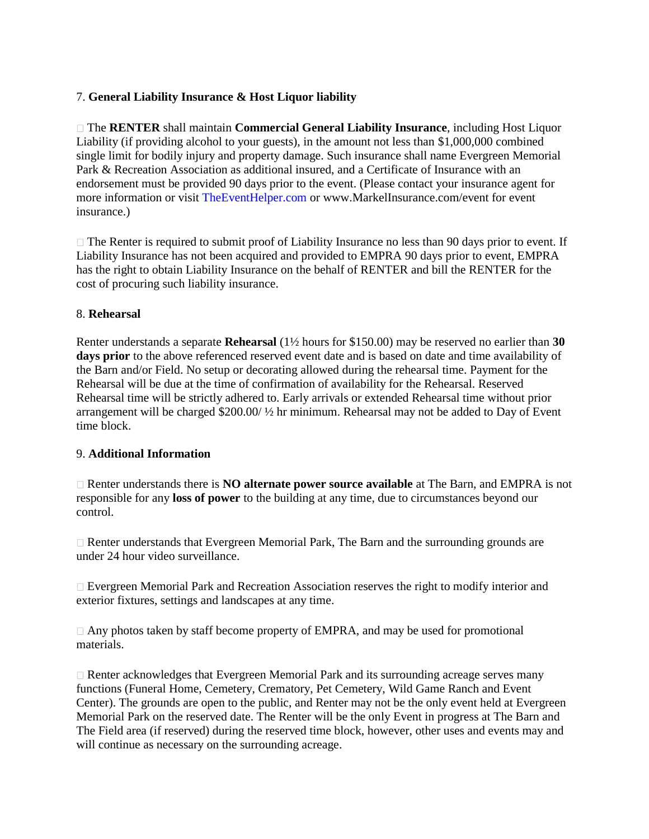## 7. **General Liability Insurance & Host Liquor liability**

The **RENTER** shall maintain **Commercial General Liability Insurance**, including Host Liquor Liability (if providing alcohol to your guests), in the amount not less than \$1,000,000 combined single limit for bodily injury and property damage. Such insurance shall name Evergreen Memorial Park & Recreation Association as additional insured, and a Certificate of Insurance with an endorsement must be provided 90 days prior to the event. (Please contact your insurance agent for more information or visit TheEventHelper.com or www.MarkelInsurance.com/event for event insurance.)

□ The Renter is required to submit proof of Liability Insurance no less than 90 days prior to event. If Liability Insurance has not been acquired and provided to EMPRA 90 days prior to event, EMPRA has the right to obtain Liability Insurance on the behalf of RENTER and bill the RENTER for the cost of procuring such liability insurance.

### 8. **Rehearsal**

Renter understands a separate **Rehearsal** (1½ hours for \$150.00) may be reserved no earlier than **30**  days prior to the above referenced reserved event date and is based on date and time availability of the Barn and/or Field. No setup or decorating allowed during the rehearsal time. Payment for the Rehearsal will be due at the time of confirmation of availability for the Rehearsal. Reserved Rehearsal time will be strictly adhered to. Early arrivals or extended Rehearsal time without prior arrangement will be charged \$200.00/ ½ hr minimum. Rehearsal may not be added to Day of Event time block.

### 9. **Additional Information**

Renter understands there is **NO alternate power source available** at The Barn, and EMPRA is not responsible for any **loss of power** to the building at any time, due to circumstances beyond our control.

Renter understands that Evergreen Memorial Park, The Barn and the surrounding grounds are under 24 hour video surveillance.

Evergreen Memorial Park and Recreation Association reserves the right to modify interior and exterior fixtures, settings and landscapes at any time.

 $\Box$  Any photos taken by staff become property of EMPRA, and may be used for promotional materials.

Renter acknowledges that Evergreen Memorial Park and its surrounding acreage serves many functions (Funeral Home, Cemetery, Crematory, Pet Cemetery, Wild Game Ranch and Event Center). The grounds are open to the public, and Renter may not be the only event held at Evergreen Memorial Park on the reserved date. The Renter will be the only Event in progress at The Barn and The Field area (if reserved) during the reserved time block, however, other uses and events may and will continue as necessary on the surrounding acreage.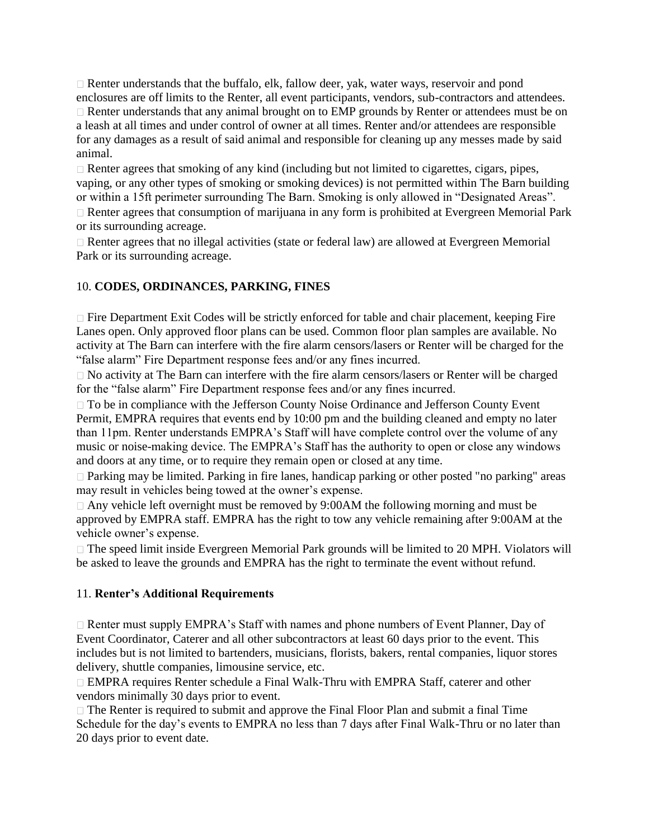$\Box$  Renter understands that the buffalo, elk, fallow deer, yak, water ways, reservoir and pond enclosures are off limits to the Renter, all event participants, vendors, sub-contractors and attendees. Renter understands that any animal brought on to EMP grounds by Renter or attendees must be on a leash at all times and under control of owner at all times. Renter and/or attendees are responsible for any damages as a result of said animal and responsible for cleaning up any messes made by said animal.

 $\Box$  Renter agrees that smoking of any kind (including but not limited to cigarettes, cigars, pipes, vaping, or any other types of smoking or smoking devices) is not permitted within The Barn building or within a 15ft perimeter surrounding The Barn. Smoking is only allowed in "Designated Areas".  $\Box$  Renter agrees that consumption of marijuana in any form is prohibited at Evergreen Memorial Park

or its surrounding acreage. Renter agrees that no illegal activities (state or federal law) are allowed at Evergreen Memorial Park or its surrounding acreage.

### 10. **CODES, ORDINANCES, PARKING, FINES**

 $\Box$  Fire Department Exit Codes will be strictly enforced for table and chair placement, keeping Fire Lanes open. Only approved floor plans can be used. Common floor plan samples are available. No activity at The Barn can interfere with the fire alarm censors/lasers or Renter will be charged for the "false alarm" Fire Department response fees and/or any fines incurred.

No activity at The Barn can interfere with the fire alarm censors/lasers or Renter will be charged for the "false alarm" Fire Department response fees and/or any fines incurred.

□ To be in compliance with the Jefferson County Noise Ordinance and Jefferson County Event Permit, EMPRA requires that events end by 10:00 pm and the building cleaned and empty no later than 11pm. Renter understands EMPRA's Staff will have complete control over the volume of any music or noise-making device. The EMPRA's Staff has the authority to open or close any windows and doors at any time, or to require they remain open or closed at any time.

Parking may be limited. Parking in fire lanes, handicap parking or other posted "no parking" areas may result in vehicles being towed at the owner's expense.

□ Any vehicle left overnight must be removed by 9:00AM the following morning and must be approved by EMPRA staff. EMPRA has the right to tow any vehicle remaining after 9:00AM at the vehicle owner's expense.

□ The speed limit inside Evergreen Memorial Park grounds will be limited to 20 MPH. Violators will be asked to leave the grounds and EMPRA has the right to terminate the event without refund.

### 11. **Renter's Additional Requirements**

□ Renter must supply EMPRA's Staff with names and phone numbers of Event Planner, Day of Event Coordinator, Caterer and all other subcontractors at least 60 days prior to the event. This includes but is not limited to bartenders, musicians, florists, bakers, rental companies, liquor stores delivery, shuttle companies, limousine service, etc.

EMPRA requires Renter schedule a Final Walk-Thru with EMPRA Staff, caterer and other vendors minimally 30 days prior to event.

 $\Box$  The Renter is required to submit and approve the Final Floor Plan and submit a final Time Schedule for the day's events to EMPRA no less than 7 days after Final Walk-Thru or no later than 20 days prior to event date.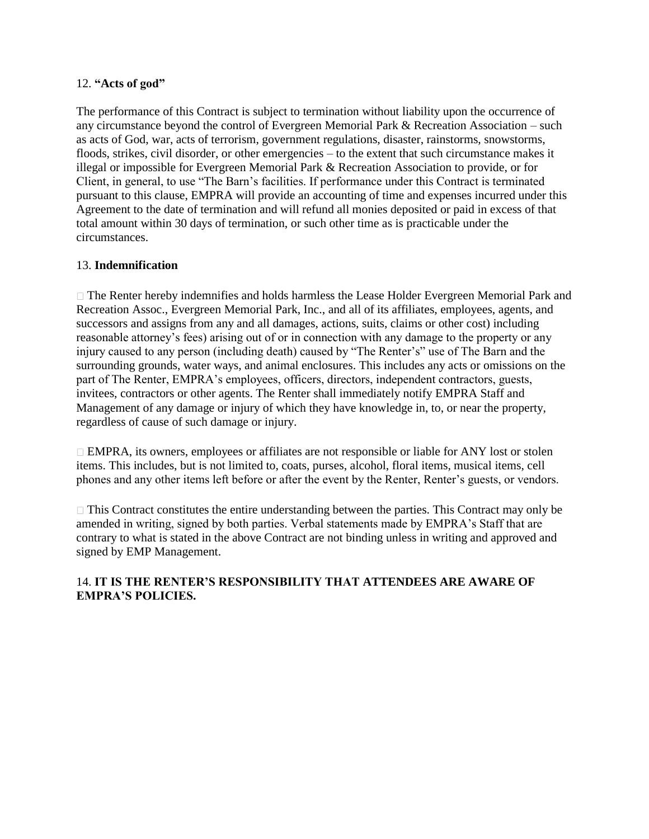#### 12. **"Acts of god"**

The performance of this Contract is subject to termination without liability upon the occurrence of any circumstance beyond the control of Evergreen Memorial Park & Recreation Association – such as acts of God, war, acts of terrorism, government regulations, disaster, rainstorms, snowstorms, floods, strikes, civil disorder, or other emergencies – to the extent that such circumstance makes it illegal or impossible for Evergreen Memorial Park & Recreation Association to provide, or for Client, in general, to use "The Barn's facilities. If performance under this Contract is terminated pursuant to this clause, EMPRA will provide an accounting of time and expenses incurred under this Agreement to the date of termination and will refund all monies deposited or paid in excess of that total amount within 30 days of termination, or such other time as is practicable under the circumstances.

### 13. **Indemnification**

The Renter hereby indemnifies and holds harmless the Lease Holder Evergreen Memorial Park and Recreation Assoc., Evergreen Memorial Park, Inc., and all of its affiliates, employees, agents, and successors and assigns from any and all damages, actions, suits, claims or other cost) including reasonable attorney's fees) arising out of or in connection with any damage to the property or any injury caused to any person (including death) caused by "The Renter's" use of The Barn and the surrounding grounds, water ways, and animal enclosures. This includes any acts or omissions on the part of The Renter, EMPRA's employees, officers, directors, independent contractors, guests, invitees, contractors or other agents. The Renter shall immediately notify EMPRA Staff and Management of any damage or injury of which they have knowledge in, to, or near the property, regardless of cause of such damage or injury.

 $\Box$  EMPRA, its owners, employees or affiliates are not responsible or liable for ANY lost or stolen items. This includes, but is not limited to, coats, purses, alcohol, floral items, musical items, cell phones and any other items left before or after the event by the Renter, Renter's guests, or vendors.

 $\Box$  This Contract constitutes the entire understanding between the parties. This Contract may only be amended in writing, signed by both parties. Verbal statements made by EMPRA's Staff that are contrary to what is stated in the above Contract are not binding unless in writing and approved and signed by EMP Management.

### 14. **IT IS THE RENTER'S RESPONSIBILITY THAT ATTENDEES ARE AWARE OF EMPRA'S POLICIES.**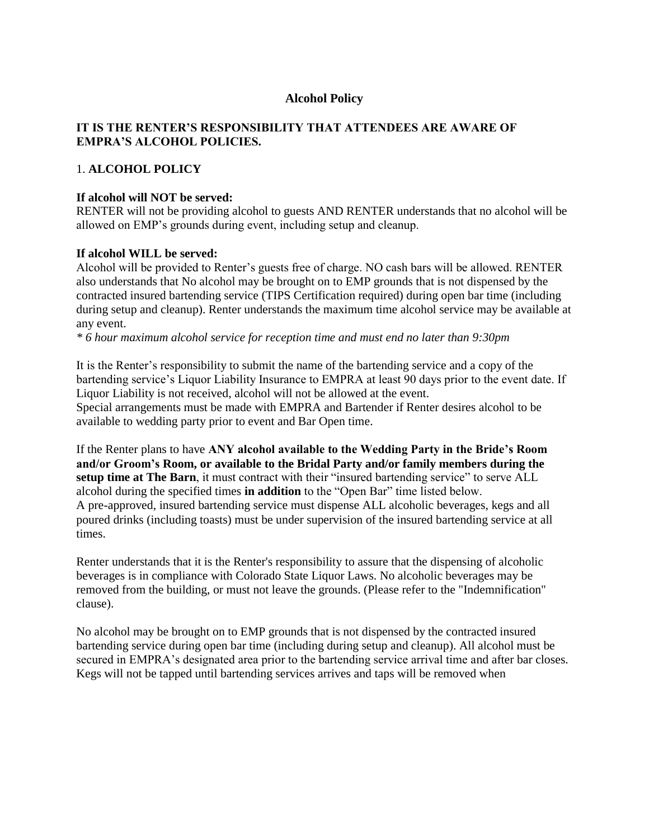### **Alcohol Policy**

## **IT IS THE RENTER'S RESPONSIBILITY THAT ATTENDEES ARE AWARE OF EMPRA'S ALCOHOL POLICIES.**

### 1. **ALCOHOL POLICY**

#### **If alcohol will NOT be served:**

RENTER will not be providing alcohol to guests AND RENTER understands that no alcohol will be allowed on EMP's grounds during event, including setup and cleanup.

#### **If alcohol WILL be served:**

Alcohol will be provided to Renter's guests free of charge. NO cash bars will be allowed. RENTER also understands that No alcohol may be brought on to EMP grounds that is not dispensed by the contracted insured bartending service (TIPS Certification required) during open bar time (including during setup and cleanup). Renter understands the maximum time alcohol service may be available at any event.

*\* 6 hour maximum alcohol service for reception time and must end no later than 9:30pm* 

It is the Renter's responsibility to submit the name of the bartending service and a copy of the bartending service's Liquor Liability Insurance to EMPRA at least 90 days prior to the event date. If Liquor Liability is not received, alcohol will not be allowed at the event.

Special arrangements must be made with EMPRA and Bartender if Renter desires alcohol to be available to wedding party prior to event and Bar Open time.

If the Renter plans to have **ANY alcohol available to the Wedding Party in the Bride's Room and/or Groom's Room, or available to the Bridal Party and/or family members during the setup time at The Barn**, it must contract with their "insured bartending service" to serve ALL alcohol during the specified times **in addition** to the "Open Bar" time listed below. A pre-approved, insured bartending service must dispense ALL alcoholic beverages, kegs and all poured drinks (including toasts) must be under supervision of the insured bartending service at all times.

Renter understands that it is the Renter's responsibility to assure that the dispensing of alcoholic beverages is in compliance with Colorado State Liquor Laws. No alcoholic beverages may be removed from the building, or must not leave the grounds. (Please refer to the "Indemnification" clause).

No alcohol may be brought on to EMP grounds that is not dispensed by the contracted insured bartending service during open bar time (including during setup and cleanup). All alcohol must be secured in EMPRA's designated area prior to the bartending service arrival time and after bar closes. Kegs will not be tapped until bartending services arrives and taps will be removed when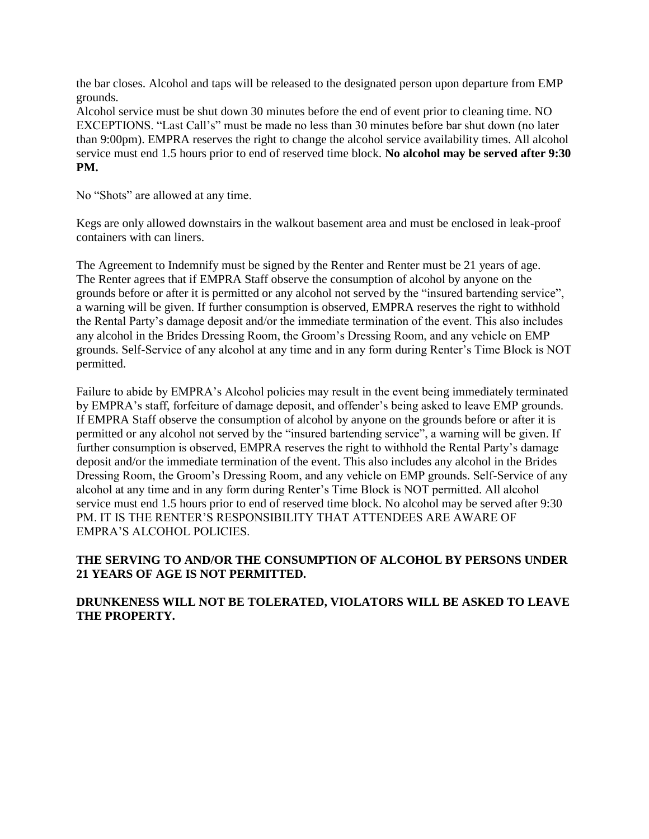the bar closes. Alcohol and taps will be released to the designated person upon departure from EMP grounds.

Alcohol service must be shut down 30 minutes before the end of event prior to cleaning time. NO EXCEPTIONS. "Last Call's" must be made no less than 30 minutes before bar shut down (no later than 9:00pm). EMPRA reserves the right to change the alcohol service availability times. All alcohol service must end 1.5 hours prior to end of reserved time block. **No alcohol may be served after 9:30 PM.**

No "Shots" are allowed at any time.

Kegs are only allowed downstairs in the walkout basement area and must be enclosed in leak-proof containers with can liners.

The Agreement to Indemnify must be signed by the Renter and Renter must be 21 years of age. The Renter agrees that if EMPRA Staff observe the consumption of alcohol by anyone on the grounds before or after it is permitted or any alcohol not served by the "insured bartending service", a warning will be given. If further consumption is observed, EMPRA reserves the right to withhold the Rental Party's damage deposit and/or the immediate termination of the event. This also includes any alcohol in the Brides Dressing Room, the Groom's Dressing Room, and any vehicle on EMP grounds. Self-Service of any alcohol at any time and in any form during Renter's Time Block is NOT permitted.

Failure to abide by EMPRA's Alcohol policies may result in the event being immediately terminated by EMPRA's staff, forfeiture of damage deposit, and offender's being asked to leave EMP grounds. If EMPRA Staff observe the consumption of alcohol by anyone on the grounds before or after it is permitted or any alcohol not served by the "insured bartending service", a warning will be given. If further consumption is observed, EMPRA reserves the right to withhold the Rental Party's damage deposit and/or the immediate termination of the event. This also includes any alcohol in the Brides Dressing Room, the Groom's Dressing Room, and any vehicle on EMP grounds. Self-Service of any alcohol at any time and in any form during Renter's Time Block is NOT permitted. All alcohol service must end 1.5 hours prior to end of reserved time block. No alcohol may be served after 9:30 PM. IT IS THE RENTER'S RESPONSIBILITY THAT ATTENDEES ARE AWARE OF EMPRA'S ALCOHOL POLICIES.

### **THE SERVING TO AND/OR THE CONSUMPTION OF ALCOHOL BY PERSONS UNDER 21 YEARS OF AGE IS NOT PERMITTED.**

### **DRUNKENESS WILL NOT BE TOLERATED, VIOLATORS WILL BE ASKED TO LEAVE THE PROPERTY.**